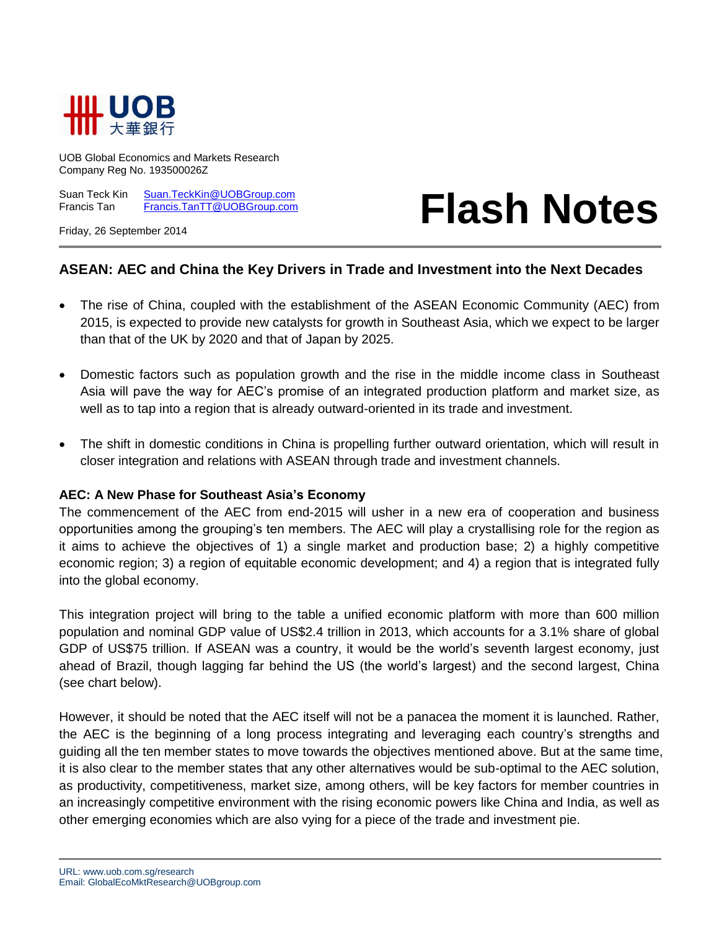

UOB Global Economics and Markets Research Company Reg No. 193500026Z

Suan Teck Kin [Suan.TeckKin@UOBGroup.com](mailto:Suan.TeckKin@UOBGroup.com) Francis Tan [Francis.TanTT@UOBGroup.com](mailto:Francis.TanTT@UOBGroup.com)

# **Flash Notes**

Friday, 26 September 2014

# **ASEAN: AEC and China the Key Drivers in Trade and Investment into the Next Decades**

- The rise of China, coupled with the establishment of the ASEAN Economic Community (AEC) from 2015, is expected to provide new catalysts for growth in Southeast Asia, which we expect to be larger than that of the UK by 2020 and that of Japan by 2025.
- Domestic factors such as population growth and the rise in the middle income class in Southeast Asia will pave the way for AEC's promise of an integrated production platform and market size, as well as to tap into a region that is already outward-oriented in its trade and investment.
- The shift in domestic conditions in China is propelling further outward orientation, which will result in closer integration and relations with ASEAN through trade and investment channels.

#### **AEC: A New Phase for Southeast Asia's Economy**

The commencement of the AEC from end-2015 will usher in a new era of cooperation and business opportunities among the grouping's ten members. The AEC will play a crystallising role for the region as it aims to achieve the objectives of 1) a single market and production base; 2) a highly competitive economic region; 3) a region of equitable economic development; and 4) a region that is integrated fully into the global economy.

This integration project will bring to the table a unified economic platform with more than 600 million population and nominal GDP value of US\$2.4 trillion in 2013, which accounts for a 3.1% share of global GDP of US\$75 trillion. If ASEAN was a country, it would be the world's seventh largest economy, just ahead of Brazil, though lagging far behind the US (the world's largest) and the second largest, China (see chart below).

However, it should be noted that the AEC itself will not be a panacea the moment it is launched. Rather, the AEC is the beginning of a long process integrating and leveraging each country's strengths and guiding all the ten member states to move towards the objectives mentioned above. But at the same time, it is also clear to the member states that any other alternatives would be sub-optimal to the AEC solution, as productivity, competitiveness, market size, among others, will be key factors for member countries in an increasingly competitive environment with the rising economic powers like China and India, as well as other emerging economies which are also vying for a piece of the trade and investment pie.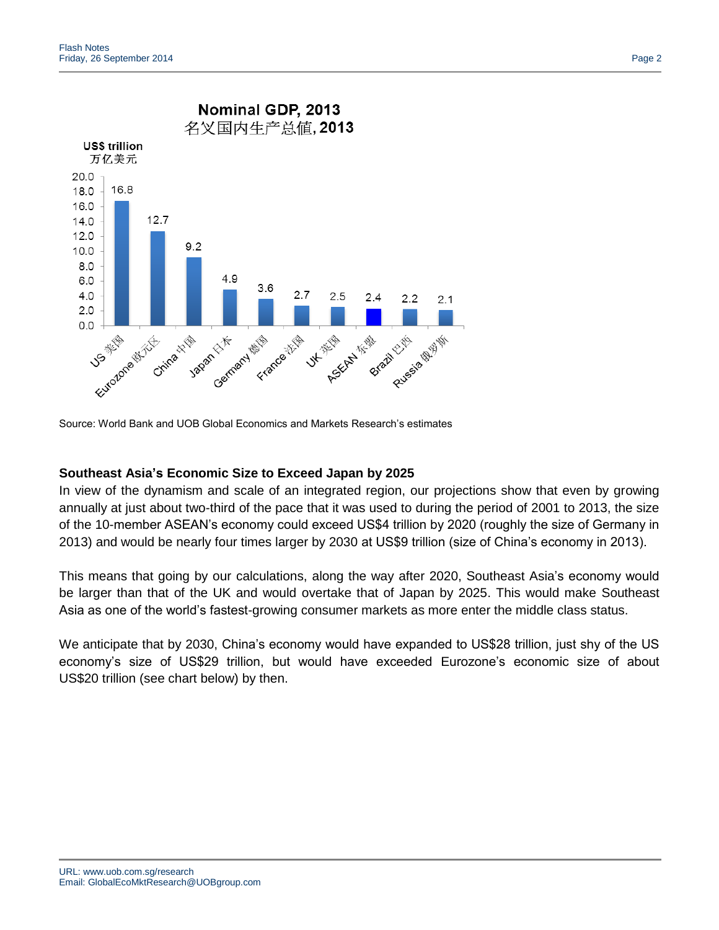

Source: World Bank and UOB Global Economics and Markets Research's estimates

# **Southeast Asia's Economic Size to Exceed Japan by 2025**

In view of the dynamism and scale of an integrated region, our projections show that even by growing annually at just about two-third of the pace that it was used to during the period of 2001 to 2013, the size of the 10-member ASEAN's economy could exceed US\$4 trillion by 2020 (roughly the size of Germany in 2013) and would be nearly four times larger by 2030 at US\$9 trillion (size of China's economy in 2013).

This means that going by our calculations, along the way after 2020, Southeast Asia's economy would be larger than that of the UK and would overtake that of Japan by 2025. This would make Southeast Asia as one of the world's fastest-growing consumer markets as more enter the middle class status.

We anticipate that by 2030, China's economy would have expanded to US\$28 trillion, just shy of the US economy's size of US\$29 trillion, but would have exceeded Eurozone's economic size of about US\$20 trillion (see chart below) by then.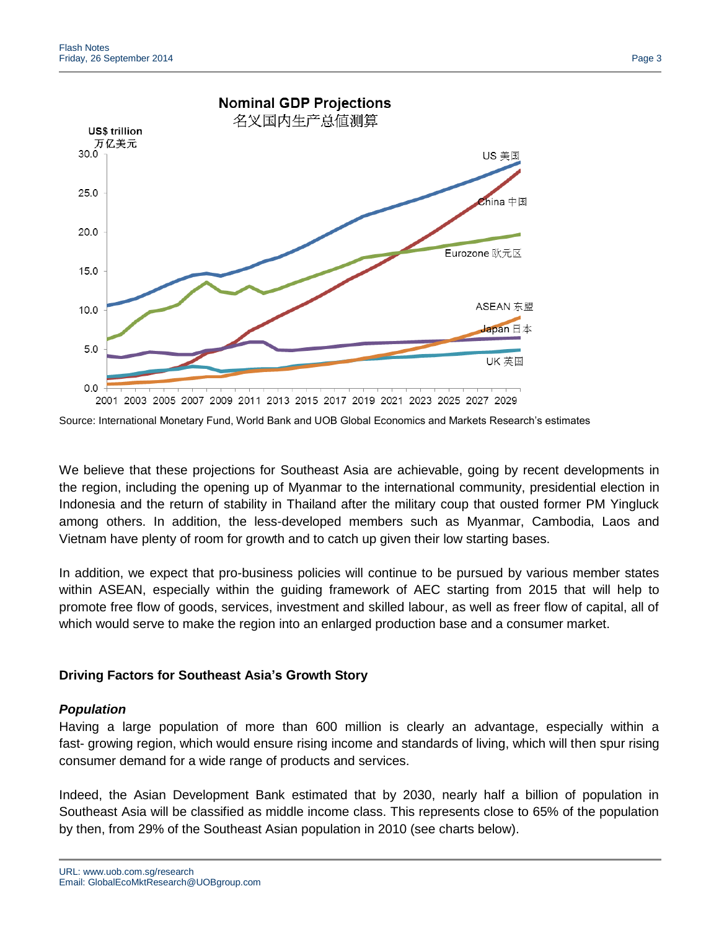

Source: International Monetary Fund, World Bank and UOB Global Economics and Markets Research's estimates

We believe that these projections for Southeast Asia are achievable, going by recent developments in the region, including the opening up of Myanmar to the international community, presidential election in Indonesia and the return of stability in Thailand after the military coup that ousted former PM Yingluck among others. In addition, the less-developed members such as Myanmar, Cambodia, Laos and Vietnam have plenty of room for growth and to catch up given their low starting bases.

In addition, we expect that pro-business policies will continue to be pursued by various member states within ASEAN, especially within the guiding framework of AEC starting from 2015 that will help to promote free flow of goods, services, investment and skilled labour, as well as freer flow of capital, all of which would serve to make the region into an enlarged production base and a consumer market.

# **Driving Factors for Southeast Asia's Growth Story**

# *Population*

Having a large population of more than 600 million is clearly an advantage, especially within a fast- growing region, which would ensure rising income and standards of living, which will then spur rising consumer demand for a wide range of products and services.

Indeed, the Asian Development Bank estimated that by 2030, nearly half a billion of population in Southeast Asia will be classified as middle income class. This represents close to 65% of the population by then, from 29% of the Southeast Asian population in 2010 (see charts below).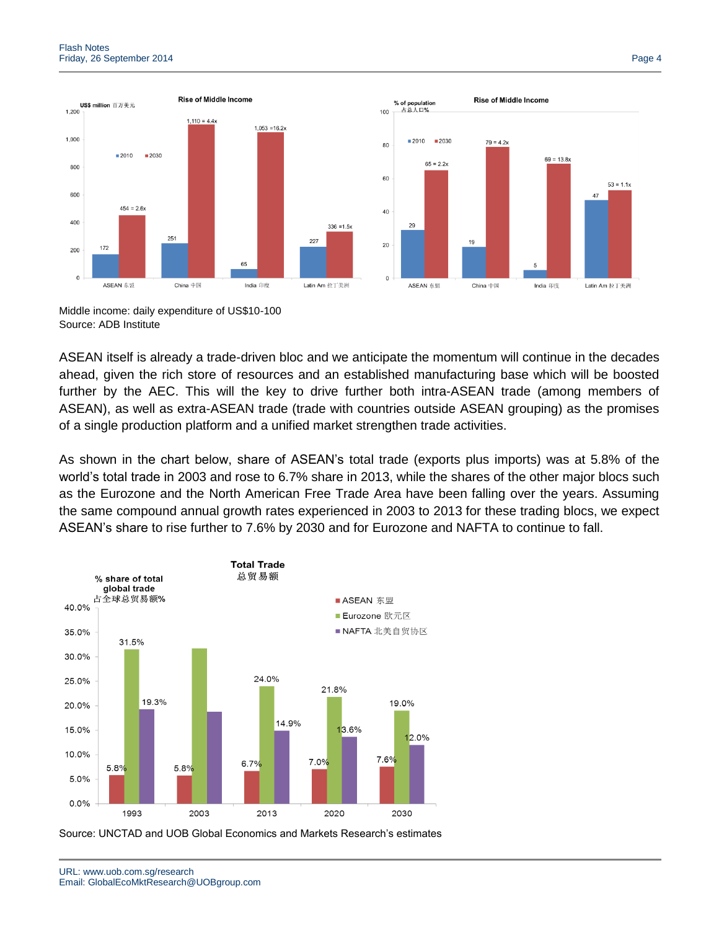

Middle income: daily expenditure of US\$10-100 Source: ADB Institute

ASEAN itself is already a trade-driven bloc and we anticipate the momentum will continue in the decades ahead, given the rich store of resources and an established manufacturing base which will be boosted further by the AEC. This will the key to drive further both intra-ASEAN trade (among members of ASEAN), as well as extra-ASEAN trade (trade with countries outside ASEAN grouping) as the promises of a single production platform and a unified market strengthen trade activities.

As shown in the chart below, share of ASEAN's total trade (exports plus imports) was at 5.8% of the world's total trade in 2003 and rose to 6.7% share in 2013, while the shares of the other major blocs such as the Eurozone and the North American Free Trade Area have been falling over the years. Assuming the same compound annual growth rates experienced in 2003 to 2013 for these trading blocs, we expect ASEAN's share to rise further to 7.6% by 2030 and for Eurozone and NAFTA to continue to fall.



Source: UNCTAD and UOB Global Economics and Markets Research's estimates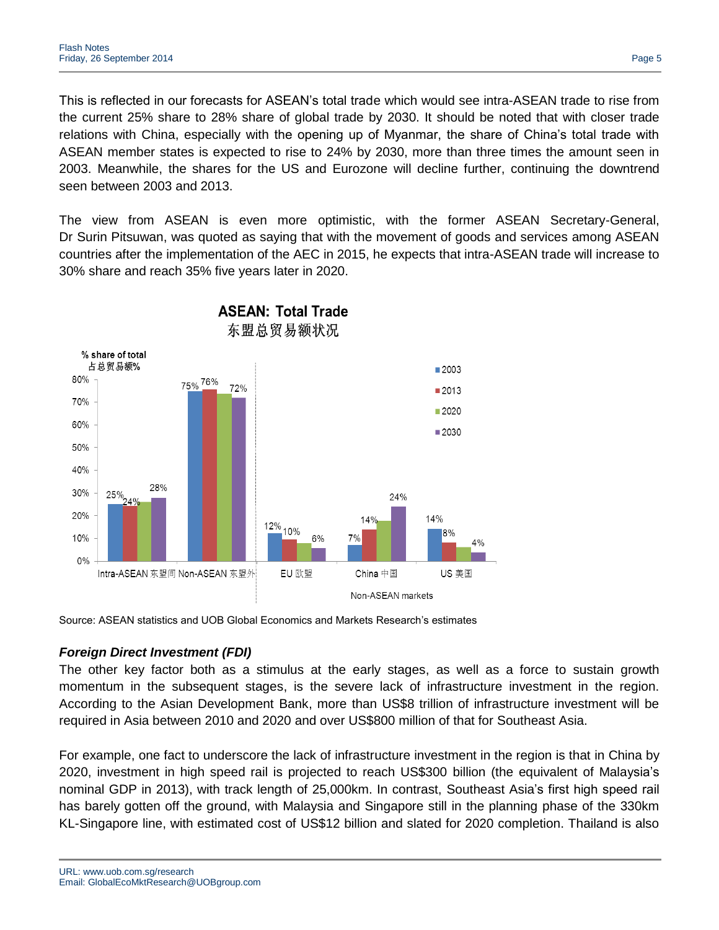This is reflected in our forecasts for ASEAN's total trade which would see intra-ASEAN trade to rise from the current 25% share to 28% share of global trade by 2030. It should be noted that with closer trade relations with China, especially with the opening up of Myanmar, the share of China's total trade with ASEAN member states is expected to rise to 24% by 2030, more than three times the amount seen in 2003. Meanwhile, the shares for the US and Eurozone will decline further, continuing the downtrend seen between 2003 and 2013.

The view from ASEAN is even more optimistic, with the former ASEAN Secretary-General, Dr Surin Pitsuwan, was quoted as saying that with the movement of goods and services among ASEAN countries after the implementation of the AEC in 2015, he expects that intra-ASEAN trade will increase to 30% share and reach 35% five years later in 2020.



Source: ASEAN statistics and UOB Global Economics and Markets Research's estimates

# *Foreign Direct Investment (FDI)*

The other key factor both as a stimulus at the early stages, as well as a force to sustain growth momentum in the subsequent stages, is the severe lack of infrastructure investment in the region. According to the Asian Development Bank, more than US\$8 trillion of infrastructure investment will be required in Asia between 2010 and 2020 and over US\$800 million of that for Southeast Asia.

For example, one fact to underscore the lack of infrastructure investment in the region is that in China by 2020, investment in high speed rail is projected to reach US\$300 billion (the equivalent of Malaysia's nominal GDP in 2013), with track length of 25,000km. In contrast, Southeast Asia's first high speed rail has barely gotten off the ground, with Malaysia and Singapore still in the planning phase of the 330km KL-Singapore line, with estimated cost of US\$12 billion and slated for 2020 completion. Thailand is also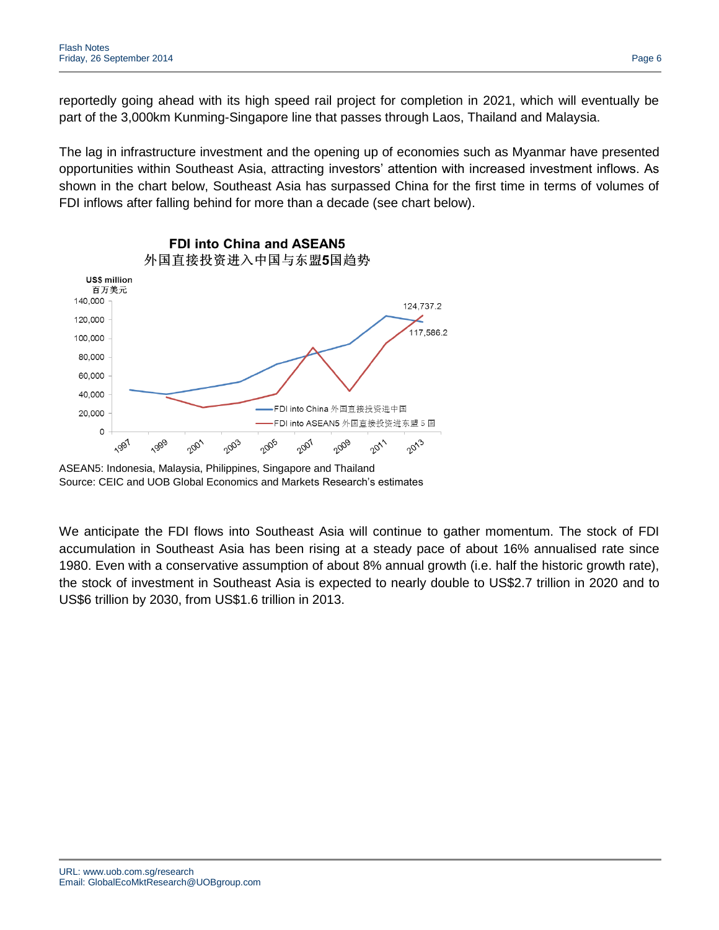reportedly going ahead with its high speed rail project for completion in 2021, which will eventually be part of the 3,000km Kunming-Singapore line that passes through Laos, Thailand and Malaysia.

The lag in infrastructure investment and the opening up of economies such as Myanmar have presented opportunities within Southeast Asia, attracting investors' attention with increased investment inflows. As shown in the chart below, Southeast Asia has surpassed China for the first time in terms of volumes of FDI inflows after falling behind for more than a decade (see chart below).



ASEAN5: Indonesia, Malaysia, Philippines, Singapore and Thailand Source: CEIC and UOB Global Economics and Markets Research's estimates

We anticipate the FDI flows into Southeast Asia will continue to gather momentum. The stock of FDI accumulation in Southeast Asia has been rising at a steady pace of about 16% annualised rate since 1980. Even with a conservative assumption of about 8% annual growth (i.e. half the historic growth rate), the stock of investment in Southeast Asia is expected to nearly double to US\$2.7 trillion in 2020 and to US\$6 trillion by 2030, from US\$1.6 trillion in 2013.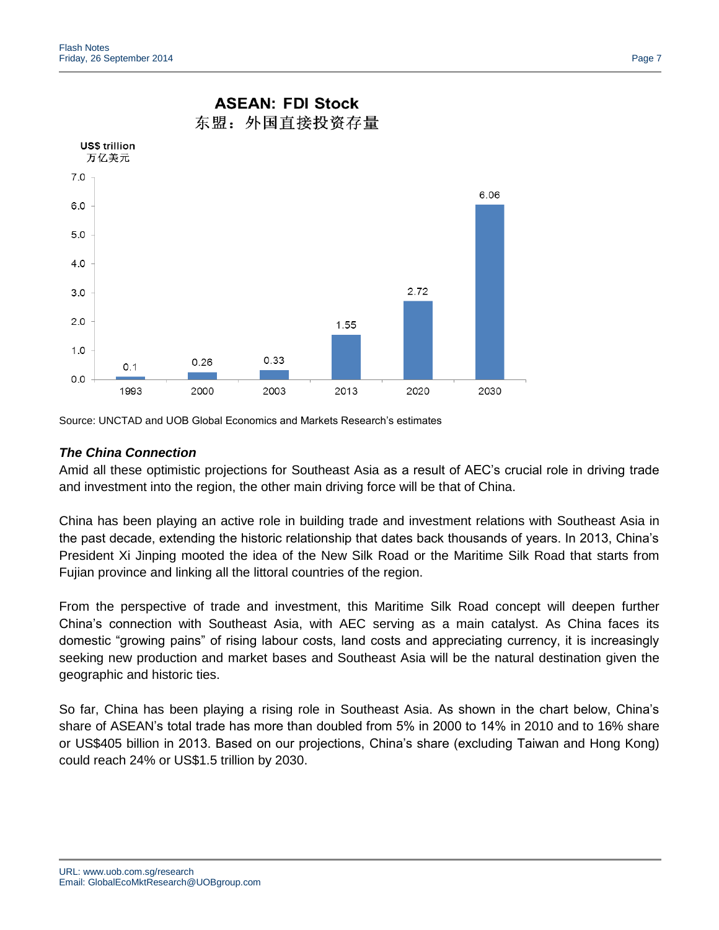

# **ASEAN: FDI Stock**

Source: UNCTAD and UOB Global Economics and Markets Research's estimates

### *The China Connection*

Amid all these optimistic projections for Southeast Asia as a result of AEC's crucial role in driving trade and investment into the region, the other main driving force will be that of China.

China has been playing an active role in building trade and investment relations with Southeast Asia in the past decade, extending the historic relationship that dates back thousands of years. In 2013, China's President Xi Jinping mooted the idea of the New Silk Road or the Maritime Silk Road that starts from Fujian province and linking all the littoral countries of the region.

From the perspective of trade and investment, this Maritime Silk Road concept will deepen further China's connection with Southeast Asia, with AEC serving as a main catalyst. As China faces its domestic "growing pains" of rising labour costs, land costs and appreciating currency, it is increasingly seeking new production and market bases and Southeast Asia will be the natural destination given the geographic and historic ties.

So far, China has been playing a rising role in Southeast Asia. As shown in the chart below, China's share of ASEAN's total trade has more than doubled from 5% in 2000 to 14% in 2010 and to 16% share or US\$405 billion in 2013. Based on our projections, China's share (excluding Taiwan and Hong Kong) could reach 24% or US\$1.5 trillion by 2030.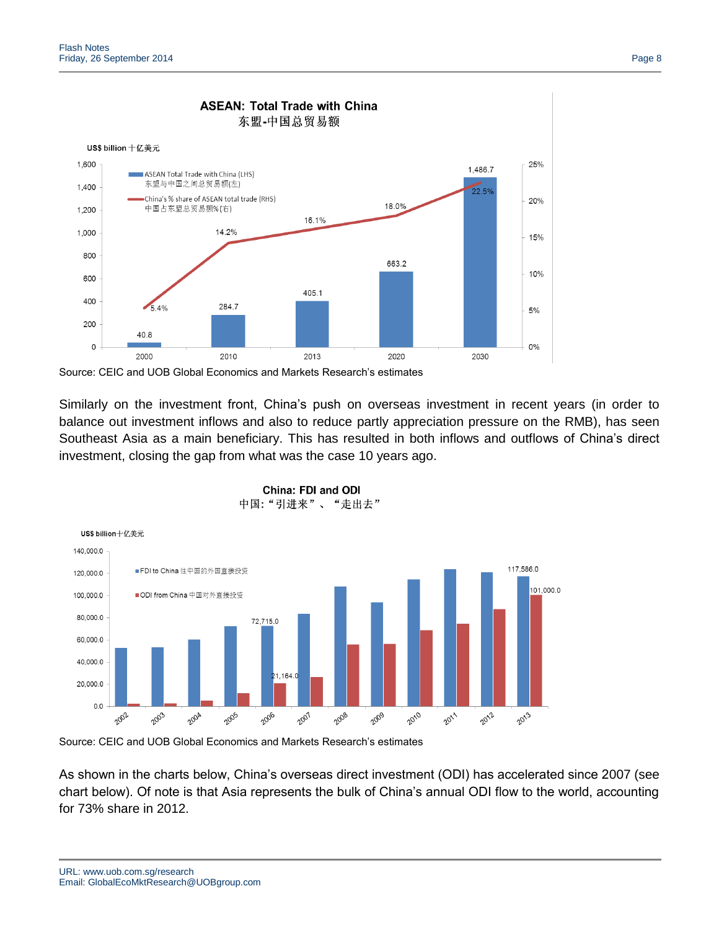

#### **ASEAN: Total Trade with China** 东盟-中国总贸易额

Source: CEIC and UOB Global Economics and Markets Research's estimates

Similarly on the investment front, China's push on overseas investment in recent years (in order to balance out investment inflows and also to reduce partly appreciation pressure on the RMB), has seen Southeast Asia as a main beneficiary. This has resulted in both inflows and outflows of China's direct investment, closing the gap from what was the case 10 years ago.





Source: CEIC and UOB Global Economics and Markets Research's estimates

As shown in the charts below, China's overseas direct investment (ODI) has accelerated since 2007 (see chart below). Of note is that Asia represents the bulk of China's annual ODI flow to the world, accounting for 73% share in 2012.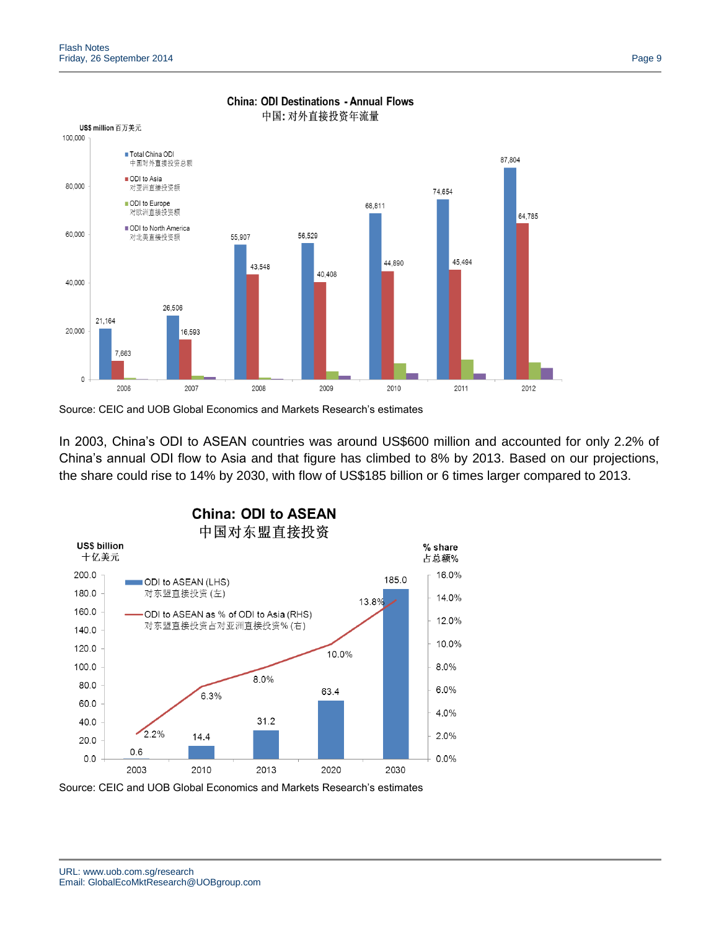

# **China: ODI Destinations - Annual Flows**

Source: CEIC and UOB Global Economics and Markets Research's estimates

In 2003, China's ODI to ASEAN countries was around US\$600 million and accounted for only 2.2% of China's annual ODI flow to Asia and that figure has climbed to 8% by 2013. Based on our projections, the share could rise to 14% by 2030, with flow of US\$185 billion or 6 times larger compared to 2013.



Source: CEIC and UOB Global Economics and Markets Research's estimates